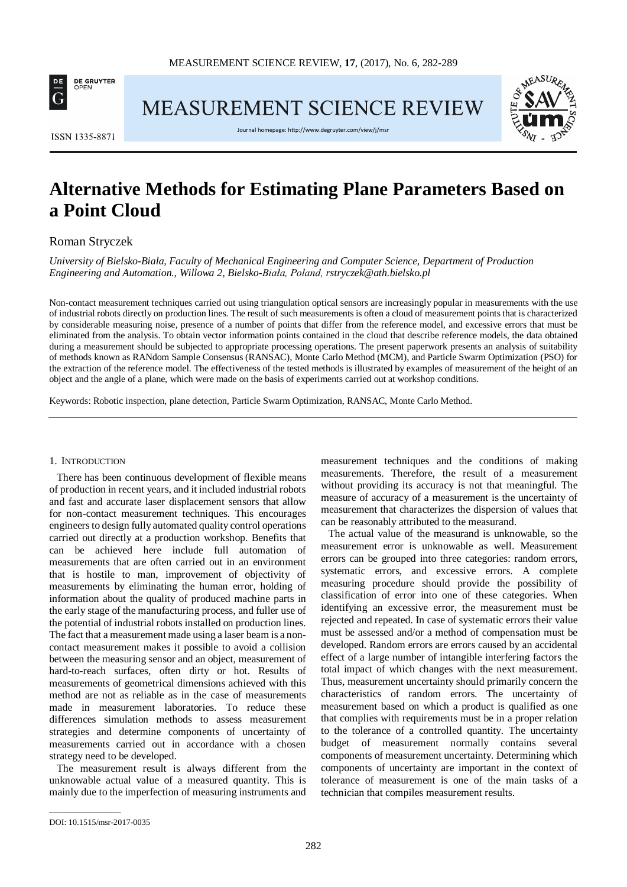

MEASUREMENT SCIENCE REVIEW



**ISSN 1335-8871** 

Journal homepage[: http://www.degruyter.com/view/j/msr](http://www.degruyter.com/view/j/msr)

# **Alternative Methods for Estimating Plane Parameters Based on a Point Cloud**

# Roman Stryczek

*University of Bielsko-Biala, Faculty of Mechanical Engineering and Computer Science, Department of Production Engineering and Automation., Willowa 2, Bielsko-Biała, Poland, rstryczek@ath.bielsko.pl*

Non-contact measurement techniques carried out using triangulation optical sensors are increasingly popular in measurements with the use of industrial robots directly on production lines. The result of such measurements is often a cloud of measurement points that is characterized by considerable measuring noise, presence of a number of points that differ from the reference model, and excessive errors that must be eliminated from the analysis. To obtain vector information points contained in the cloud that describe reference models, the data obtained during a measurement should be subjected to appropriate processing operations. The present paperwork presents an analysis of suitability of methods known as RANdom Sample Consensus (RANSAC), Monte Carlo Method (MCM), and Particle Swarm Optimization (PSO) for the extraction of the reference model. The effectiveness of the tested methods is illustrated by examples of measurement of the height of an object and the angle of a plane, which were made on the basis of experiments carried out at workshop conditions.

Keywords: Robotic inspection, plane detection, Particle Swarm Optimization, RANSAC, Monte Carlo Method.

#### 1. INTRODUCTION

There has been continuous development of flexible means of production in recent years, and it included industrial robots and fast and accurate laser displacement sensors that allow for non-contact measurement techniques. This encourages engineers to design fully automated quality control operations carried out directly at a production workshop. Benefits that can be achieved here include full automation of measurements that are often carried out in an environment that is hostile to man, improvement of objectivity of measurements by eliminating the human error, holding of information about the quality of produced machine parts in the early stage of the manufacturing process, and fuller use of the potential of industrial robots installed on production lines. The fact that a measurement made using a laser beam is a noncontact measurement makes it possible to avoid a collision between the measuring sensor and an object, measurement of hard-to-reach surfaces, often dirty or hot. Results of measurements of geometrical dimensions achieved with this method are not as reliable as in the case of measurements made in measurement laboratories. To reduce these differences simulation methods to assess measurement strategies and determine components of uncertainty of measurements carried out in accordance with a chosen strategy need to be developed.

The measurement result is always different from the unknowable actual value of a measured quantity. This is mainly due to the imperfection of measuring instruments and measurement techniques and the conditions of making measurements. Therefore, the result of a measurement without providing its accuracy is not that meaningful. The measure of accuracy of a measurement is the uncertainty of measurement that characterizes the dispersion of values that can be reasonably attributed to the measurand.

The actual value of the measurand is unknowable, so the measurement error is unknowable as well. Measurement errors can be grouped into three categories: random errors, systematic errors, and excessive errors. A complete measuring procedure should provide the possibility of classification of error into one of these categories. When identifying an excessive error, the measurement must be rejected and repeated. In case of systematic errors their value must be assessed and/or a method of compensation must be developed. Random errors are errors caused by an accidental effect of a large number of intangible interfering factors the total impact of which changes with the next measurement. Thus, measurement uncertainty should primarily concern the characteristics of random errors. The uncertainty of measurement based on which a product is qualified as one that complies with requirements must be in a proper relation to the tolerance of a controlled quantity. The uncertainty budget of measurement normally contains several components of measurement uncertainty. Determining which components of uncertainty are important in the context of tolerance of measurement is one of the main tasks of a technician that compiles measurement results.

\_\_\_\_\_\_\_\_\_\_\_\_\_\_\_\_\_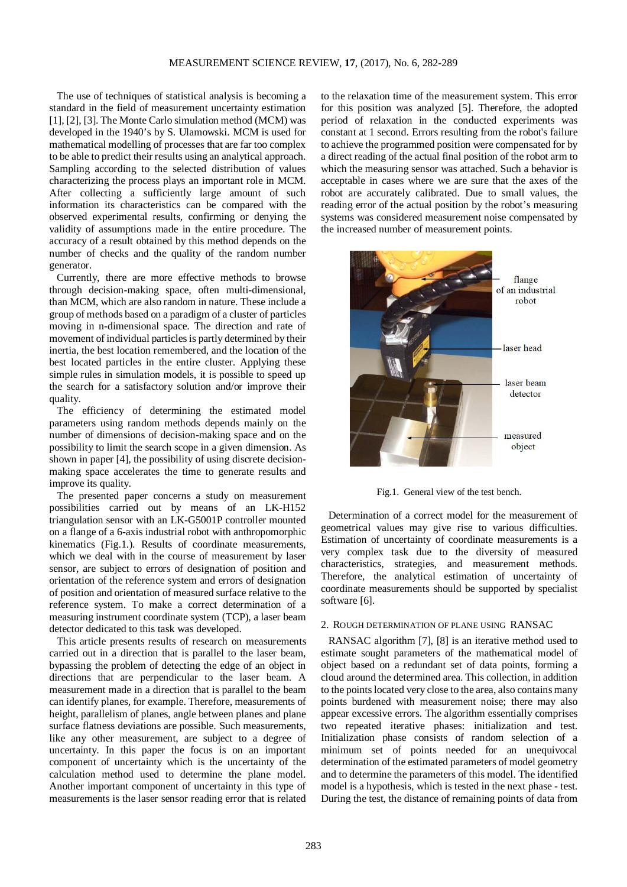The use of techniques of statistical analysis is becoming a standard in the field of measurement uncertainty estimation [1], [2], [3]. The Monte Carlo simulation method (MCM) was developed in the 1940's by S. Ulamowski. MCM is used for mathematical modelling of processes that are far too complex to be able to predict their results using an analytical approach. Sampling according to the selected distribution of values characterizing the process plays an important role in MCM. After collecting a sufficiently large amount of such information its characteristics can be compared with the observed experimental results, confirming or denying the validity of assumptions made in the entire procedure. The accuracy of a result obtained by this method depends on the number of checks and the quality of the random number generator.

Currently, there are more effective methods to browse through decision-making space, often multi-dimensional, than MCM, which are also random in nature. These include a group of methods based on a paradigm of a cluster of particles moving in n-dimensional space. The direction and rate of movement of individual particles is partly determined by their inertia, the best location remembered, and the location of the best located particles in the entire cluster. Applying these simple rules in simulation models, it is possible to speed up the search for a satisfactory solution and/or improve their quality.

The efficiency of determining the estimated model parameters using random methods depends mainly on the number of dimensions of decision-making space and on the possibility to limit the search scope in a given dimension. As shown in paper [4], the possibility of using discrete decisionmaking space accelerates the time to generate results and improve its quality.

The presented paper concerns a study on measurement possibilities carried out by means of an LK-H152 triangulation sensor with an LK-G5001P controller mounted on a flange of a 6-axis industrial robot with anthropomorphic kinematics (Fig.1.). Results of coordinate measurements, which we deal with in the course of measurement by laser sensor, are subject to errors of designation of position and orientation of the reference system and errors of designation of position and orientation of measured surface relative to the reference system. To make a correct determination of a measuring instrument coordinate system (TCP), a laser beam detector dedicated to this task was developed.

This article presents results of research on measurements carried out in a direction that is parallel to the laser beam, bypassing the problem of detecting the edge of an object in directions that are perpendicular to the laser beam. A measurement made in a direction that is parallel to the beam can identify planes, for example. Therefore, measurements of height, parallelism of planes, angle between planes and plane surface flatness deviations are possible. Such measurements, like any other measurement, are subject to a degree of uncertainty. In this paper the focus is on an important component of uncertainty which is the uncertainty of the calculation method used to determine the plane model. Another important component of uncertainty in this type of measurements is the laser sensor reading error that is related

to the relaxation time of the measurement system. This error for this position was analyzed [5]. Therefore, the adopted period of relaxation in the conducted experiments was constant at 1 second. Errors resulting from the robot's failure to achieve the programmed position were compensated for by a direct reading of the actual final position of the robot arm to which the measuring sensor was attached. Such a behavior is acceptable in cases where we are sure that the axes of the robot are accurately calibrated. Due to small values, the reading error of the actual position by the robot's measuring systems was considered measurement noise compensated by the increased number of measurement points.



Fig.1. General view of the test bench.

Determination of a correct model for the measurement of geometrical values may give rise to various difficulties. Estimation of uncertainty of coordinate measurements is a very complex task due to the diversity of measured characteristics, strategies, and measurement methods. Therefore, the analytical estimation of uncertainty of coordinate measurements should be supported by specialist software [6].

### 2. ROUGH DETERMINATION OF PLANE USING RANSAC

RANSAC algorithm [7], [8] is an iterative method used to estimate sought parameters of the mathematical model of object based on a redundant set of data points, forming a cloud around the determined area. This collection, in addition to the points located very close to the area, also contains many points burdened with measurement noise; there may also appear excessive errors. The algorithm essentially comprises two repeated iterative phases: initialization and test. Initialization phase consists of random selection of a minimum set of points needed for an unequivocal determination of the estimated parameters of model geometry and to determine the parameters of this model. The identified model is a hypothesis, which is tested in the next phase - test. During the test, the distance of remaining points of data from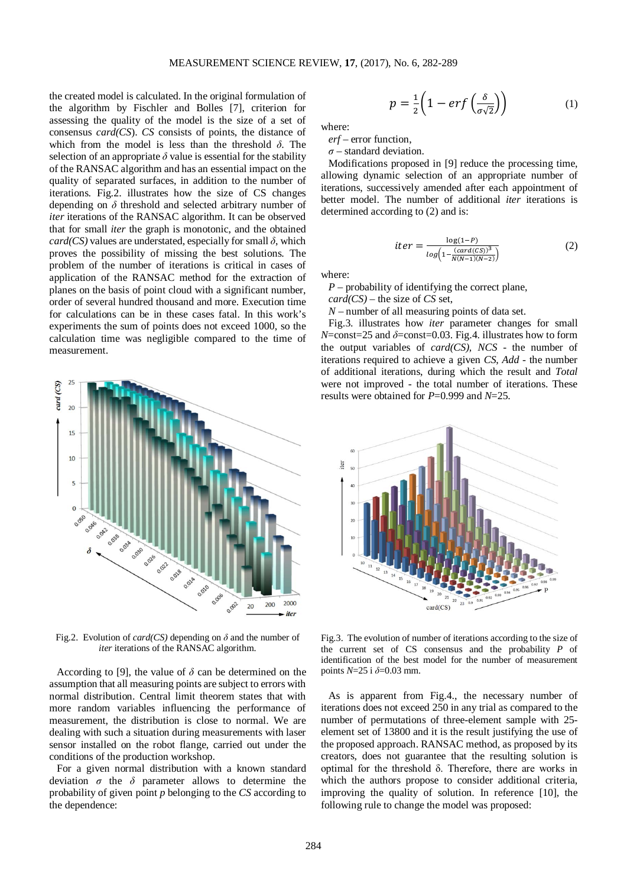the created model is calculated. In the original formulation of the algorithm by Fischler and Bolles [7], criterion for assessing the quality of the model is the size of a set of consensus *card(CS*). *CS* consists of points, the distance of which from the model is less than the threshold  $\delta$ . The selection of an appropriate  $\delta$  value is essential for the stability of the RANSAC algorithm and has an essential impact on the quality of separated surfaces, in addition to the number of iterations. Fig.2. illustrates how the size of CS changes depending on *δ* threshold and selected arbitrary number of *iter* iterations of the RANSAC algorithm. It can be observed that for small *iter* the graph is monotonic, and the obtained  $card(CS)$  values are understated, especially for small  $\delta$ , which proves the possibility of missing the best solutions. The problem of the number of iterations is critical in cases of application of the RANSAC method for the extraction of planes on the basis of point cloud with a significant number, order of several hundred thousand and more. Execution time for calculations can be in these cases fatal. In this work's experiments the sum of points does not exceed 1000, so the calculation time was negligible compared to the time of measurement.



Fig.2. Evolution of *card(CS)* depending on *δ* and the number of *iter* iterations of the RANSAC algorithm.

According to [9], the value of  $\delta$  can be determined on the assumption that all measuring points are subject to errors with normal distribution. Central limit theorem states that with more random variables influencing the performance of measurement, the distribution is close to normal. We are dealing with such a situation during measurements with laser sensor installed on the robot flange, carried out under the conditions of the production workshop.

For a given normal distribution with a known standard deviation  $\sigma$  the  $\delta$  parameter allows to determine the probability of given point *p* belonging to the *CS* according to the dependence:

$$
p = \frac{1}{2} \left( 1 - erf\left(\frac{\delta}{\sigma \sqrt{2}}\right) \right) \tag{1}
$$

where:

*erf* – error function,

*σ* – standard deviation.

Modifications proposed in [9] reduce the processing time, allowing dynamic selection of an appropriate number of iterations, successively amended after each appointment of better model. The number of additional *iter* iterations is determined according to (2) and is:

$$
iter = \frac{\log(1 - P)}{\log(1 - \frac{(card(CS))^3}{N(N-1)(N-2)})}
$$
(2)

where:

*P* – probability of identifying the correct plane,

*card(CS)* – the size of *CS* set,

*N* – number of all measuring points of data set.

Fig.3. illustrates how *iter* parameter changes for small *N*=const=25 and *δ*=const=0.03. Fig.4. illustrates how to form the output variables of *card(CS), NCS* - the number of iterations required to achieve a given *CS*, *Add* - the number of additional iterations, during which the result and *Total* were not improved - the total number of iterations. These results were obtained for *P*=0.999 and *N*=25.



Fig.3. The evolution of number of iterations according to the size of the current set of CS consensus and the probability *P* of identification of the best model for the number of measurement points *N*=25 i *δ*=0.03 mm.

As is apparent from Fig.4., the necessary number of iterations does not exceed 250 in any trial as compared to the number of permutations of three-element sample with 25 element set of 13800 and it is the result justifying the use of the proposed approach. RANSAC method, as proposed by its creators, does not guarantee that the resulting solution is optimal for the threshold δ. Therefore, there are works in which the authors propose to consider additional criteria, improving the quality of solution. In reference [10], the following rule to change the model was proposed: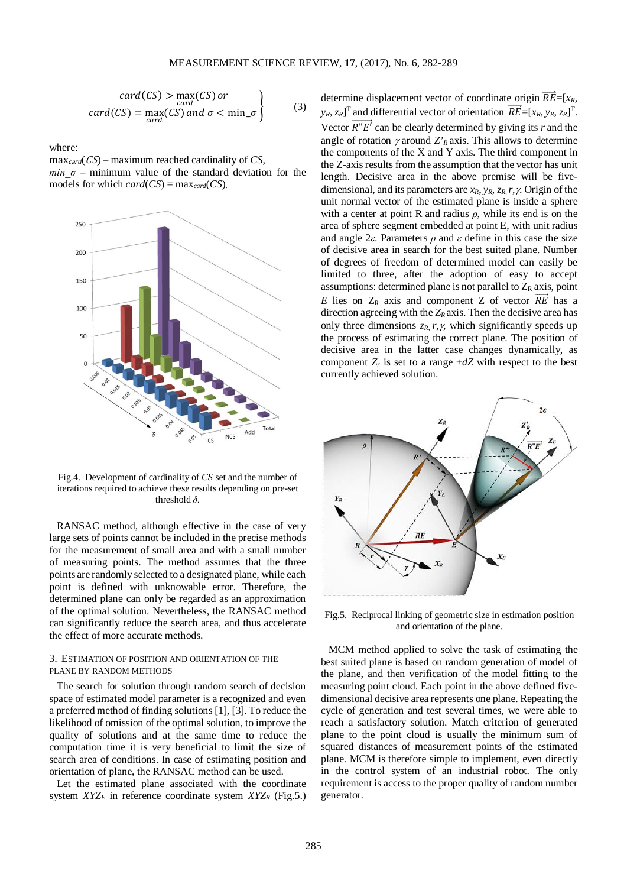$$
card(CS) > \max_{card} (CS) \text{ or}
$$
  
card(CS) = max(CS) and  $\sigma$  < min\_{\sigma} (3)

where:

max<sub>card</sub>(CS) – maximum reached cardinality of CS, *min*  $\sigma$  – minimum value of the standard deviation for the models for which  $card(CS) = max_{card}(CS)$ .



Fig.4. Development of cardinality of *CS* set and the number of iterations required to achieve these results depending on pre-set threshold *δ.*

RANSAC method, although effective in the case of very large sets of points cannot be included in the precise methods for the measurement of small area and with a small number of measuring points. The method assumes that the three points are randomly selected to a designated plane, while each point is defined with unknowable error. Therefore, the determined plane can only be regarded as an approximation of the optimal solution. Nevertheless, the RANSAC method can significantly reduce the search area, and thus accelerate the effect of more accurate methods.

#### 3. ESTIMATION OF POSITION AND ORIENTATION OF THE PLANE BY RANDOM METHODS

The search for solution through random search of decision space of estimated model parameter is a recognized and even a preferred method of finding solutions [1], [3]. To reduce the likelihood of omission of the optimal solution, to improve the quality of solutions and at the same time to reduce the computation time it is very beneficial to limit the size of search area of conditions. In case of estimating position and orientation of plane, the RANSAC method can be used.

Let the estimated plane associated with the coordinate system *XYZE* in reference coordinate system *XYZR* (Fig.5.)

determine displacement vector of coordinate origin  $RE=[x_R,$  $y_R$ ,  $z_R$ <sup>T</sup> and differential vector of orientation  $\overline{RE} = [x_R, y_R, z_R]^T$ . Vector  $\overrightarrow{R''E'}$  can be clearly determined by giving its *r* and the angle of rotation  $\gamma$  around  $Z_R^r$  axis. This allows to determine the components of the X and Y axis. The third component in the Z-axis results from the assumption that the vector has unit length. Decisive area in the above premise will be fivedimensional, and its parameters are *xR*, *yR*, *zR, r,*γ. Origin of the unit normal vector of the estimated plane is inside a sphere with a center at point R and radius *ρ*, while its end is on the area of sphere segment embedded at point E, with unit radius and angle  $2\varepsilon$ . Parameters  $\rho$  and  $\varepsilon$  define in this case the size of decisive area in search for the best suited plane. Number of degrees of freedom of determined model can easily be limited to three, after the adoption of easy to accept assumptions: determined plane is not parallel to  $Z_R$  axis, point *E* lies on  $Z_R$  axis and component Z of vector  $\overrightarrow{RE}$  has a direction agreeing with the  $Z_R$  axis. Then the decisive area has only three dimensions *zR, r,*γ, which significantly speeds up the process of estimating the correct plane. The position of decisive area in the latter case changes dynamically, as component  $Z_r$  is set to a range  $\pm dZ$  with respect to the best currently achieved solution.



Fig.5. Reciprocal linking of geometric size in estimation position and orientation of the plane.

MCM method applied to solve the task of estimating the best suited plane is based on random generation of model of the plane, and then verification of the model fitting to the measuring point cloud. Each point in the above defined fivedimensional decisive area represents one plane. Repeating the cycle of generation and test several times, we were able to reach a satisfactory solution. Match criterion of generated plane to the point cloud is usually the minimum sum of squared distances of measurement points of the estimated plane. MCM is therefore simple to implement, even directly in the control system of an industrial robot. The only requirement is access to the proper quality of random number generator.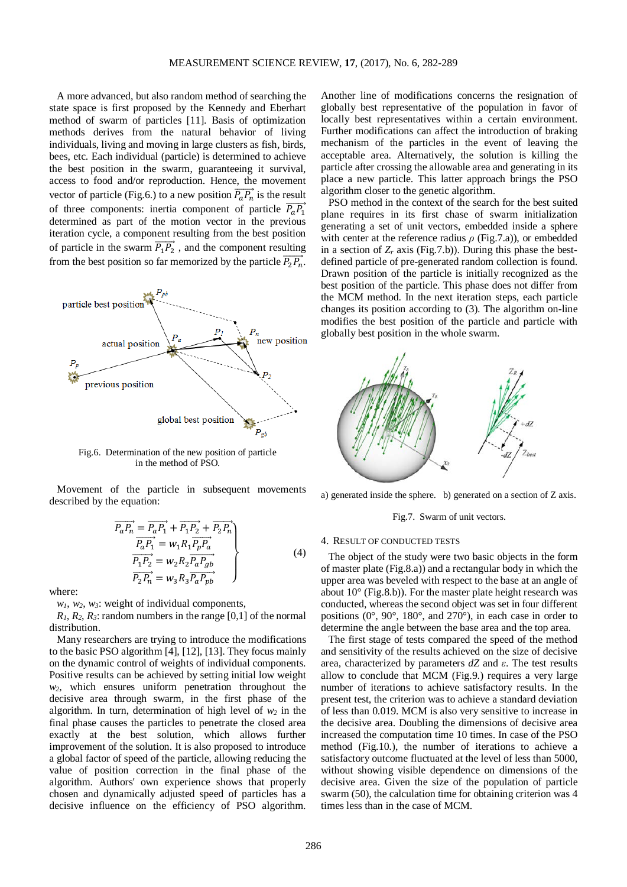A more advanced, but also random method of searching the state space is first proposed by the Kennedy and Eberhart method of swarm of particles [11]. Basis of optimization methods derives from the natural behavior of living individuals, living and moving in large clusters as fish, birds, bees, etc. Each individual (particle) is determined to achieve the best position in the swarm, guaranteeing it survival, access to food and/or reproduction. Hence, the movement vector of particle (Fig.6.) to a new position  $\overrightarrow{P_a P_n}$  is the result of three components: inertia component of particle  $\overline{P_a P_1}$ determined as part of the motion vector in the previous iteration cycle, a component resulting from the best position of particle in the swarm  $\overrightarrow{P_1P_2}$ , and the component resulting from the best position so far memorized by the particle  $\overrightarrow{P_2P_n}$ .



Fig.6. Determination of the new position of particle in the method of PSO.

Movement of the particle in subsequent movements described by the equation:

$$
\overrightarrow{P_a P_n} = \overrightarrow{P_a P_1} + \overrightarrow{P_1 P_2} + \overrightarrow{P_2 P_n}
$$
\n
$$
\overrightarrow{P_a P_1} = w_1 R_1 \overrightarrow{P_p P_a}
$$
\n
$$
\overrightarrow{P_1 P_2} = w_2 R_2 \overrightarrow{P_a P_{gb}}
$$
\n
$$
\overrightarrow{P_2 P_n} = w_3 R_3 \overrightarrow{P_a P_{pb}}
$$
\n(4)

where:

*w1*, *w2*, *w3*: weight of individual components,

 $R_1, R_2, R_3$ : random numbers in the range [0,1] of the normal distribution.

Many researchers are trying to introduce the modifications to the basic PSO algorithm [4], [12], [13]. They focus mainly on the dynamic control of weights of individual components. Positive results can be achieved by setting initial low weight *w2*, which ensures uniform penetration throughout the decisive area through swarm, in the first phase of the algorithm. In turn, determination of high level of  $w_2$  in the final phase causes the particles to penetrate the closed area exactly at the best solution, which allows further improvement of the solution. It is also proposed to introduce a global factor of speed of the particle, allowing reducing the value of position correction in the final phase of the algorithm. Authors' own experience shows that properly chosen and dynamically adjusted speed of particles has a decisive influence on the efficiency of PSO algorithm.

Another line of modifications concerns the resignation of globally best representative of the population in favor of locally best representatives within a certain environment. Further modifications can affect the introduction of braking mechanism of the particles in the event of leaving the acceptable area. Alternatively, the solution is killing the particle after crossing the allowable area and generating in its place a new particle. This latter approach brings the PSO algorithm closer to the genetic algorithm.

PSO method in the context of the search for the best suited plane requires in its first chase of swarm initialization generating a set of unit vectors, embedded inside a sphere with center at the reference radius *ρ* (Fig.7.a)), or embedded in a section of  $Z_r$  axis (Fig.7.b)). During this phase the bestdefined particle of pre-generated random collection is found. Drawn position of the particle is initially recognized as the best position of the particle. This phase does not differ from the MCM method. In the next iteration steps, each particle changes its position according to (3). The algorithm on-line modifies the best position of the particle and particle with globally best position in the whole swarm.



a) generated inside the sphere. b) generated on a section of Z axis.

Fig.7. Swarm of unit vectors.

#### 4. RESULT OF CONDUCTED TESTS

The object of the study were two basic objects in the form of master plate (Fig.8.a)) and a rectangular body in which the upper area was beveled with respect to the base at an angle of about 10° (Fig.8.b)). For the master plate height research was conducted, whereas the second object was set in four different positions (0°, 90°, 180°, and 270°), in each case in order to determine the angle between the base area and the top area.

The first stage of tests compared the speed of the method and sensitivity of the results achieved on the size of decisive area, characterized by parameters *dZ* and *ε*. The test results allow to conclude that MCM (Fig.9.) requires a very large number of iterations to achieve satisfactory results. In the present test, the criterion was to achieve a standard deviation of less than 0.019. MCM is also very sensitive to increase in the decisive area. Doubling the dimensions of decisive area increased the computation time 10 times. In case of the PSO method (Fig.10.), the number of iterations to achieve a satisfactory outcome fluctuated at the level of less than 5000, without showing visible dependence on dimensions of the decisive area. Given the size of the population of particle swarm (50), the calculation time for obtaining criterion was 4 times less than in the case of MCM.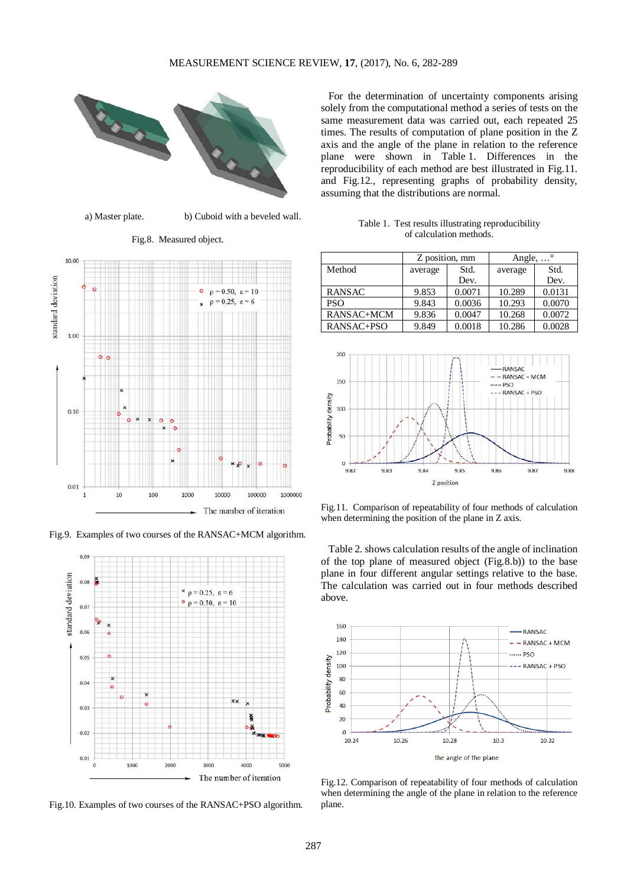

a) Master plate. b) Cuboid with a beveled wall.

Fig.8. Measured object.



Fig.9. Examples of two courses of the RANSAC+MCM algorithm.



Fig.10. Examples of two courses of the RANSAC+PSO algorithm.

For the determination of uncertainty components arising solely from the computational method a series of tests on the same measurement data was carried out, each repeated 25 times. The results of computation of plane position in the Z axis and the angle of the plane in relation to the reference plane were shown in Table 1. Differences in the reproducibility of each method are best illustrated in Fig.11. and Fig.12., representing graphs of probability density, assuming that the distributions are normal.

| Table 1. Test results illustrating reproducibility |
|----------------------------------------------------|
| of calculation methods.                            |

|               | Z position, mm |        | Angle, $\ldots$ ° |        |  |
|---------------|----------------|--------|-------------------|--------|--|
| Method        | average        | Std.   | average           | Std.   |  |
|               |                | Dev.   |                   | Dev.   |  |
| <b>RANSAC</b> | 9.853          | 0.0071 | 10.289            | 0.0131 |  |
| <b>PSO</b>    | 9.843          | 0.0036 | 10.293            | 0.0070 |  |
| RANSAC+MCM    | 9.836          | 0.0047 | 10.268            | 0.0072 |  |
| RANSAC+PSO    | 9.849          | 0.0018 | 10.286            | 0.0028 |  |



Fig.11. Comparison of repeatability of four methods of calculation when determining the position of the plane in Z axis.

Table 2. shows calculation results of the angle of inclination of the top plane of measured object (Fig.8.b)) to the base plane in four different angular settings relative to the base. The calculation was carried out in four methods described above.



Fig.12. Comparison of repeatability of four methods of calculation when determining the angle of the plane in relation to the reference plane.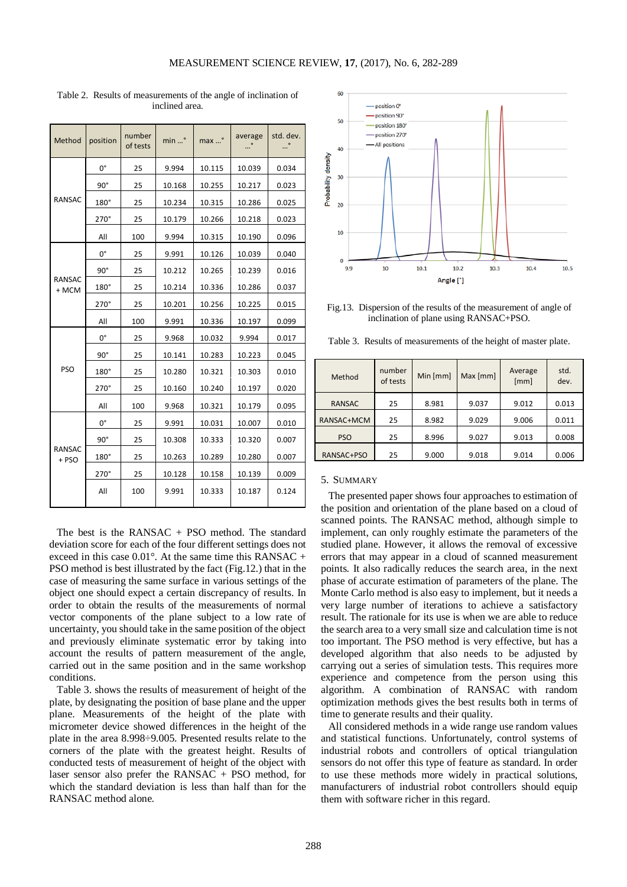| Method          | position     | number<br>of tests | min <sup>°</sup> | max <sup>o</sup> | average<br>° | std. dev.<br>° |
|-----------------|--------------|--------------------|------------------|------------------|--------------|----------------|
| <b>RANSAC</b>   | $0^{\circ}$  | 25                 | 9.994            | 10.115           | 10.039       | 0.034          |
|                 | $90^\circ$   | 25                 | 10.168           | 10.255           | 10.217       | 0.023          |
|                 | 180°         | 25                 | 10.234           | 10.315           | 10.286       | 0.025          |
|                 | $270^\circ$  | 25                 | 10.179           | 10.266           | 10.218       | 0.023          |
|                 | All          | 100                | 9.994            | 10.315           | 10.190       | 0.096          |
|                 | 0°           | 25                 | 9.991            | 10.126           | 10.039       | 0.040          |
| RANSAC<br>+ MCM | $90^\circ$   | 25                 | 10.212           | 10.265           | 10.239       | 0.016          |
|                 | 180°         | 25                 | 10.214           | 10.336           | 10.286       | 0.037          |
|                 | $270^\circ$  | 25                 | 10.201           | 10.256           | 10.225       | 0.015          |
|                 | All          | 100                | 9.991            | 10.336           | 10.197       | 0.099          |
|                 | $0^{\circ}$  | 25                 | 9.968            | 10.032           | 9.994        | 0.017          |
|                 | $90^\circ$   | 25                 | 10.141           | 10.283           | 10.223       | 0.045          |
| <b>PSO</b>      | 180°         | 25                 | 10.280           | 10.321           | 10.303       | 0.010          |
|                 | $270^\circ$  | 25                 | 10.160           | 10.240           | 10.197       | 0.020          |
|                 | All          | 100                | 9.968            | 10.321           | 10.179       | 0.095          |
| RANSAC<br>+ PSO | 0°           | 25                 | 9.991            | 10.031           | 10.007       | 0.010          |
|                 | $90^{\circ}$ | 25                 | 10.308           | 10.333           | 10.320       | 0.007          |
|                 | 180°         | 25                 | 10.263           | 10.289           | 10.280       | 0.007          |
|                 | 270°         | 25                 | 10.128           | 10.158           | 10.139       | 0.009          |
|                 | All          | 100                | 9.991            | 10.333           | 10.187       | 0.124          |

Table 2. Results of measurements of the angle of inclination of inclined area.

The best is the RANSAC  $+$  PSO method. The standard deviation score for each of the four different settings does not exceed in this case 0.01°. At the same time this RANSAC + PSO method is best illustrated by the fact (Fig.12.) that in the case of measuring the same surface in various settings of the object one should expect a certain discrepancy of results. In order to obtain the results of the measurements of normal vector components of the plane subject to a low rate of uncertainty, you should take in the same position of the object and previously eliminate systematic error by taking into account the results of pattern measurement of the angle, carried out in the same position and in the same workshop conditions.

Table 3. shows the results of measurement of height of the plate, by designating the position of base plane and the upper plane. Measurements of the height of the plate with micrometer device showed differences in the height of the plate in the area 8.998÷9.005. Presented results relate to the corners of the plate with the greatest height. Results of conducted tests of measurement of height of the object with laser sensor also prefer the RANSAC  $+$  PSO method, for which the standard deviation is less than half than for the RANSAC method alone.



Fig.13. Dispersion of the results of the measurement of angle of inclination of plane using RANSAC+PSO.

| Method        | number<br>of tests | Min $[mm]$ | Max [mm] | Average<br>[mm] | std.<br>dev. |
|---------------|--------------------|------------|----------|-----------------|--------------|
| <b>RANSAC</b> | 25                 | 8.981      | 9.037    | 9.012           | 0.013        |
| RANSAC+MCM    | 25                 | 8.982      | 9.029    | 9.006           | 0.011        |
| <b>PSO</b>    | 25                 | 8.996      | 9.027    | 9.013           | 0.008        |
| RANSAC+PSO    | 25                 | 9.000      | 9.018    | 9.014           | 0.006        |

Table 3. Results of measurements of the height of master plate.

## 5. SUMMARY

The presented paper shows four approaches to estimation of the position and orientation of the plane based on a cloud of scanned points. The RANSAC method, although simple to implement, can only roughly estimate the parameters of the studied plane. However, it allows the removal of excessive errors that may appear in a cloud of scanned measurement points. It also radically reduces the search area, in the next phase of accurate estimation of parameters of the plane. The Monte Carlo method is also easy to implement, but it needs a very large number of iterations to achieve a satisfactory result. The rationale for its use is when we are able to reduce the search area to a very small size and calculation time is not too important. The PSO method is very effective, but has a developed algorithm that also needs to be adjusted by carrying out a series of simulation tests. This requires more experience and competence from the person using this algorithm. A combination of RANSAC with random optimization methods gives the best results both in terms of time to generate results and their quality.

All considered methods in a wide range use random values and statistical functions. Unfortunately, control systems of industrial robots and controllers of optical triangulation sensors do not offer this type of feature as standard. In order to use these methods more widely in practical solutions, manufacturers of industrial robot controllers should equip them with software richer in this regard.